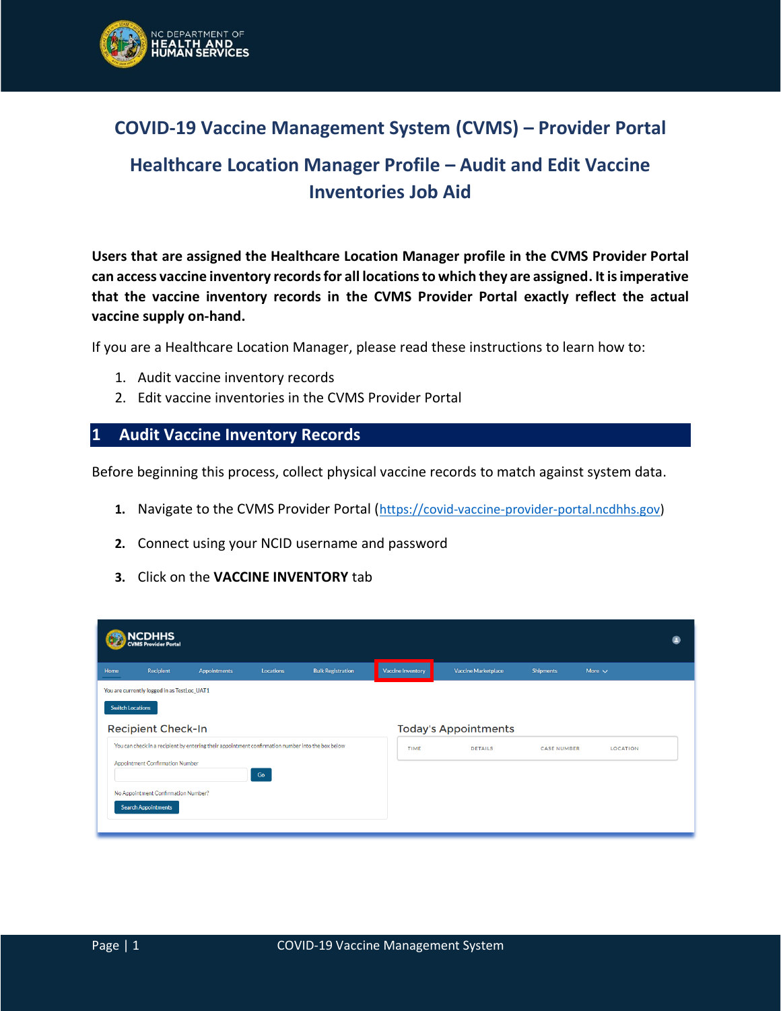

## **COVID-19 Vaccine Management System (CVMS) – Provider Portal**

# **Healthcare Location Manager Profile – Audit and Edit Vaccine Inventories Job Aid**

**Users that are assigned the Healthcare Location Manager profile in the CVMS Provider Portal can access vaccine inventory records for all locations to which they are assigned. It is imperative that the vaccine inventory records in the CVMS Provider Portal exactly reflect the actual vaccine supply on-hand.** 

If you are a Healthcare Location Manager, please read these instructions to learn how to:

- 1. Audit vaccine inventory records
- 2. Edit vaccine inventories in the CVMS Provider Portal

### **1 Audit Vaccine Inventory Records**

Before beginning this process, collect physical vaccine records to match against system data.

- 1. Navigate to the CVMS Provider Portal ([https://covid-vaccine-provider-portal.ncdhhs.gov\)](https://covid-vaccine-provider-portal.ncdhhs.gov/)
- **2.** Connect using your NCID username and password
- **3.** Click on the **VACCINE INVENTORY** tab

|      | NCDHHS<br>CVMS Provider Portal              |                                                                                                   |               |                          |                          |                             |                    |                 |  |
|------|---------------------------------------------|---------------------------------------------------------------------------------------------------|---------------|--------------------------|--------------------------|-----------------------------|--------------------|-----------------|--|
| Home | Recipient                                   | <b>Appointments</b>                                                                               | Locations     | <b>Bulk Registration</b> | <b>Vaccine Inventory</b> | <b>Vaccine Marketplace</b>  | <b>Shipments</b>   | More $\sim$     |  |
|      | You are currently logged in as TestLoc_UAT1 |                                                                                                   |               |                          |                          |                             |                    |                 |  |
|      | <b>Switch Locations</b>                     |                                                                                                   |               |                          |                          |                             |                    |                 |  |
|      | <b>Recipient Check-In</b>                   |                                                                                                   |               |                          |                          | <b>Today's Appointments</b> |                    |                 |  |
|      |                                             | You can check in a recipient by entering their appointment confirmation number into the box below |               |                          | <b>TIME</b>              | <b>DETAILS</b>              | <b>CASE NUMBER</b> | <b>LOCATION</b> |  |
|      | <b>Appointment Confirmation Number</b>      |                                                                                                   |               |                          |                          |                             |                    |                 |  |
|      | No Appointment Confirmation Number?         |                                                                                                   | $\mathsf{Go}$ |                          |                          |                             |                    |                 |  |
|      | <b>Search Appointments</b>                  |                                                                                                   |               |                          |                          |                             |                    |                 |  |
|      |                                             |                                                                                                   |               |                          |                          |                             |                    |                 |  |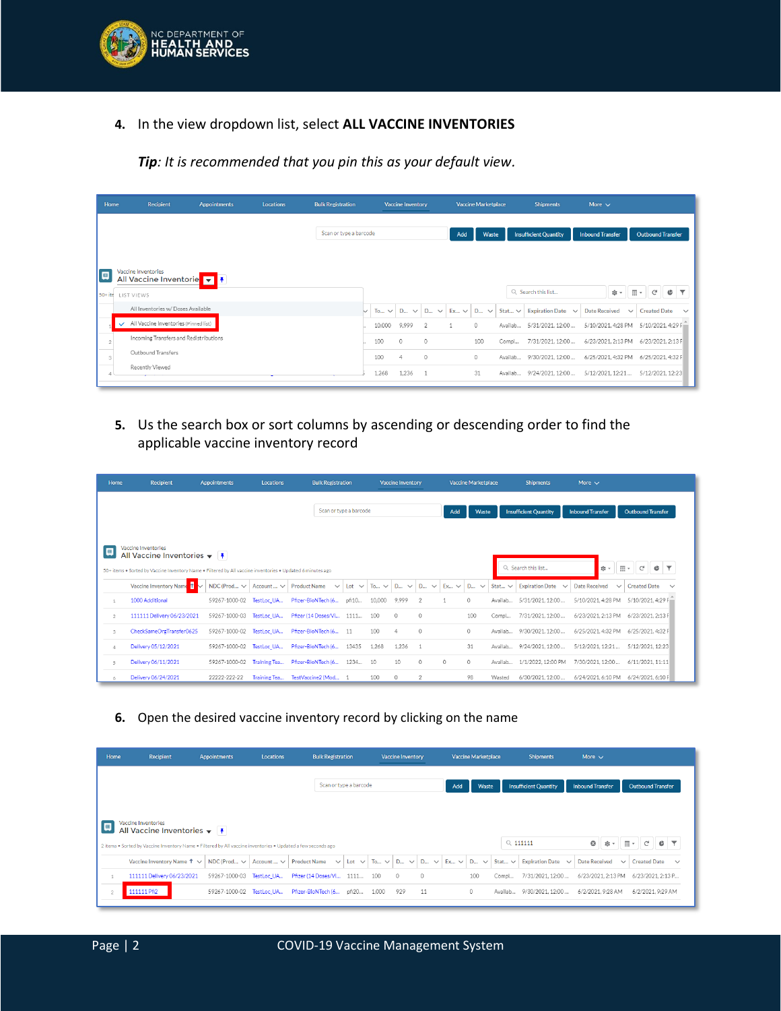

**4.** In the view dropdown list, select **ALL VACCINE INVENTORIES**

*Tip: It is recommended that you pin this as your default view.*

| Home |                                          | Recipient                              | <b>Appointments</b> | <b>Locations</b> | <b>Bulk Registration</b> |   |           | <b>Vaccine Inventory</b> |                   |           | <b>Vaccine Marketplace</b> |             | <b>Shipments</b>             | More $\sim$             |                                                     |
|------|------------------------------------------|----------------------------------------|---------------------|------------------|--------------------------|---|-----------|--------------------------|-------------------|-----------|----------------------------|-------------|------------------------------|-------------------------|-----------------------------------------------------|
|      |                                          |                                        |                     |                  | Scan or type a barcode   |   |           |                          |                   | Add       | Waste                      |             | <b>Insufficient Quantity</b> | <b>Inbound Transfer</b> | <b>Outbound Transfer</b>                            |
| Ξ    | Vaccine Inventories<br>50+ite LIST VIEWS | All Vaccine Inventorie v F             |                     |                  |                          |   |           |                          |                   |           |                            |             | Q Search this list           | 愈。                      | $\overline{\mathbb{H}}$ *<br>$\mathbb{C}^l$<br>¢    |
|      |                                          | All Inventories w/ Doses Available     |                     |                  |                          | ◡ | To $\vee$ | D<br>$\checkmark$        | D<br>$\checkmark$ | $Ex \vee$ | D<br>$\checkmark$          | Stat $\vee$ | Expiration Date $\sim$       | <b>Date Received</b>    | <b>Created Date</b><br>$\checkmark$<br>$\checkmark$ |
|      | $\checkmark$                             | All Vaccine Inventories (Pinned list)  |                     |                  |                          |   | 10,000    | 9,999                    | $\overline{2}$    |           | $\circ$                    | Availab     | 5/31/2021, 12:00             | 5/10/2021, 4:28 PM      | 5/10/2021, 4:29 F                                   |
|      |                                          | Incoming Transfers and Redistributions |                     |                  |                          |   | 100       | $\Omega$                 | 0                 |           | 100                        | Compl       | 7/31/2021, 12:00             | 6/23/2021, 2:13 PM      | 6/23/2021, 2:13 F                                   |
|      |                                          | Outbound Transfers                     |                     |                  |                          |   | 100       | $\overline{4}$           | $\circ$           |           | $\circ$                    | Availab     | 9/30/2021, 12:00             | 6/25/2021, 4:32 PM      | 6/25/2021, 4:32 F                                   |
|      | Recently Viewed                          |                                        |                     |                  |                          |   | 1.268     | 1.236                    |                   |           | 31                         | Availab     | 9/24/2021.12:00              | 5/12/2021.12:21         | 5/12/2021.12:23                                     |

**5.** Us the search box or sort columns by ascending or descending order to find the applicable vaccine inventory record

| Home           | <b>Recipient</b>                                                                                                                                                                                         | <b>Appointments</b> | <b>Locations</b>    | <b>Bulk Registration</b>                    |                     |           | <b>Vaccine Inventory</b> |                                       |                    | <b>Vaccine Marketplace</b> |             | <b>Shipments</b>                 | More $\vee$                          |                                     |
|----------------|----------------------------------------------------------------------------------------------------------------------------------------------------------------------------------------------------------|---------------------|---------------------|---------------------------------------------|---------------------|-----------|--------------------------|---------------------------------------|--------------------|----------------------------|-------------|----------------------------------|--------------------------------------|-------------------------------------|
|                |                                                                                                                                                                                                          |                     |                     | Scan or type a barcode                      |                     |           |                          |                                       | Add                | Waste                      |             | <b>Insufficient Quantity</b>     | <b>Inbound Transfer</b>              | <b>Outbound Transfer</b>            |
| Ψ              | Vaccine Inventories<br>All Vaccine Inventories $\blacktriangledown$   $\blacktriangledown$<br>50+ items . Sorted by Vaccine Inventory Name . Filtered by All vaccine inventories . Updated 6 minutes ago |                     |                     |                                             |                     |           |                          |                                       |                    |                            |             | Q Search this list               | 应 -                                  | 표.<br>G                             |
|                | Vaccine Inventory Name 1<br>M                                                                                                                                                                            | NDC (Prod $\vee$    |                     | Account $\vee$ Product Name<br>$\checkmark$ | Lot<br>$\checkmark$ | To $\vee$ | <b>D</b><br>$\checkmark$ | D.,<br>$\checkmark$                   | $Ex \vee$ D $\vee$ |                            | Stat $\vee$ | <b>Expiration Date</b><br>$\sim$ | <b>Date Received</b><br>$\checkmark$ | <b>Created Date</b><br>$\checkmark$ |
| $\mathbf{1}$   | 1000 Additional                                                                                                                                                                                          | 59267-1000-02       | TestLoc UA          | Pfizer-BioNTech (6                          | pfi10               | 10.000    | 9.999                    |                                       |                    | 0                          | Availab     | 5/31/2021.12:00                  | 5/10/2021, 4:28 PM                   | 5/10/2021, 4:29 F                   |
| $\overline{2}$ | 111111 Delivery 06/23/2021                                                                                                                                                                               | 59267-1000-03       | TestLoc UA          | Pfizer (14 Doses/Vi                         | 1111.               | 100       | $\circ$                  | $\circ$                               |                    | 100                        | Compl       | 7/31/2021.12:00                  | 6/23/2021.2:13 PM                    | 6/23/2021, 2:13 F                   |
| $\overline{3}$ | CheckSameOrgTransfer0625                                                                                                                                                                                 | 59267-1000-02       | TestLoc_UA          | Pfizer-BioNTech (6 11                       |                     | 100       | 4                        | $\begin{array}{c} 0 \\ 0 \end{array}$ |                    | $\circ$                    | Availab     | 9/30/2021.12:00                  | 6/25/2021.4:32 PM                    | 6/25/2021, 4:32 F                   |
| 4              | Delivery 05/12/2021                                                                                                                                                                                      | 59267-1000-02       | TestLoc_UA          | Pfizer-BioNTech (6                          | 13435               | 1,268     | 1.236                    |                                       |                    | 31                         | Availab     | 9/24/2021.12:00                  | 5/12/2021.12:21                      | 5/12/2021.12:23                     |
| $\overline{5}$ | Delivery 06/11/2021                                                                                                                                                                                      | 59267-1000-02       | Training Tea        | Pfizer-BioNTech (6                          | 1234                | 10        | 10                       | $\Omega$                              | $\Omega$           | $\Omega$                   | Availab     | 1/1/2022, 12:00 PM               | 7/30/2021.12:00                      | 6/11/2021, 11:11                    |
| 6              | Delivery 06/24/2021                                                                                                                                                                                      | 22222-222-22        | <b>Training Tea</b> | TestVaccine2 (Mod                           |                     | 100       | $\circ$                  | $\overline{2}$                        |                    | 98                         | Wasted      | 6/30/2021.12:00                  | 6/24/2021.6:10 PM                    | 6/24/2021, 6:10 F                   |

**6.** Open the desired vaccine inventory record by clicking on the name

| Home | Recipient                                                                                                                                                                                       | <b>Appointments</b> | <b>Locations</b> | <b>Bulk Registration</b>     |       |                                               | <b>Vaccine Inventory</b> |         |           | <b>Vaccine Marketplace</b> |             | <b>Shipments</b>                       | More $\sim$             |                                                     |
|------|-------------------------------------------------------------------------------------------------------------------------------------------------------------------------------------------------|---------------------|------------------|------------------------------|-------|-----------------------------------------------|--------------------------|---------|-----------|----------------------------|-------------|----------------------------------------|-------------------------|-----------------------------------------------------|
|      |                                                                                                                                                                                                 |                     |                  | Scan or type a barcode       |       |                                               |                          |         | Add       | Waste                      |             | <b>Insufficient Quantity</b>           | <b>Inbound Transfer</b> | <b>Outbound Transfer</b>                            |
| 回    | Vaccine Inventories<br>All Vaccine Inventories $\blacktriangledown$            <br>2 items . Sorted by Vaccine Inventory Name . Filtered by All vaccine inventories . Updated a few seconds ago |                     |                  |                              |       |                                               |                          |         |           |                            |             | $Q$ 111111                             | $\circ$<br>傘▼           | 田、<br>G<br>C                                        |
|      | Vaccine Inventory Name $\uparrow \vee$                                                                                                                                                          | NDC (Prod $\vee$    | Account $\vee$   | <b>Product Name</b>          |       | $\vee$ Lot $\vee$ To $\vee$ D $\vee$ D $\vee$ |                          |         | $Ex \vee$ | <b>D</b><br>$\checkmark$   | Stat $\vee$ | <b>Expiration Date</b><br>$\checkmark$ | <b>Date Received</b>    | <b>Created Date</b><br>$\checkmark$<br>$\checkmark$ |
|      | 111111 Delivery 06/23/2021                                                                                                                                                                      | 59267-1000-03       | TestLoc UA       | Pfizer (14 Doses/Vi 1111 100 |       |                                               | $\circ$                  | $\circ$ |           | 100                        | Compl       | 7/31/2021.12:00                        | 6/23/2021.2:13 PM       | 6/23/2021.2:13 P                                    |
|      | 111111 Pfi2                                                                                                                                                                                     | 59267-1000-02       | TestLoc UA       | Pfizer-BioNTech (6           | pfi20 | 1.000                                         | 929                      | 11      |           | $\circ$                    | Availab     | 9/30/2021.12:00                        | 6/2/2021. 9:28 AM       | 6/2/2021.9:29 AM                                    |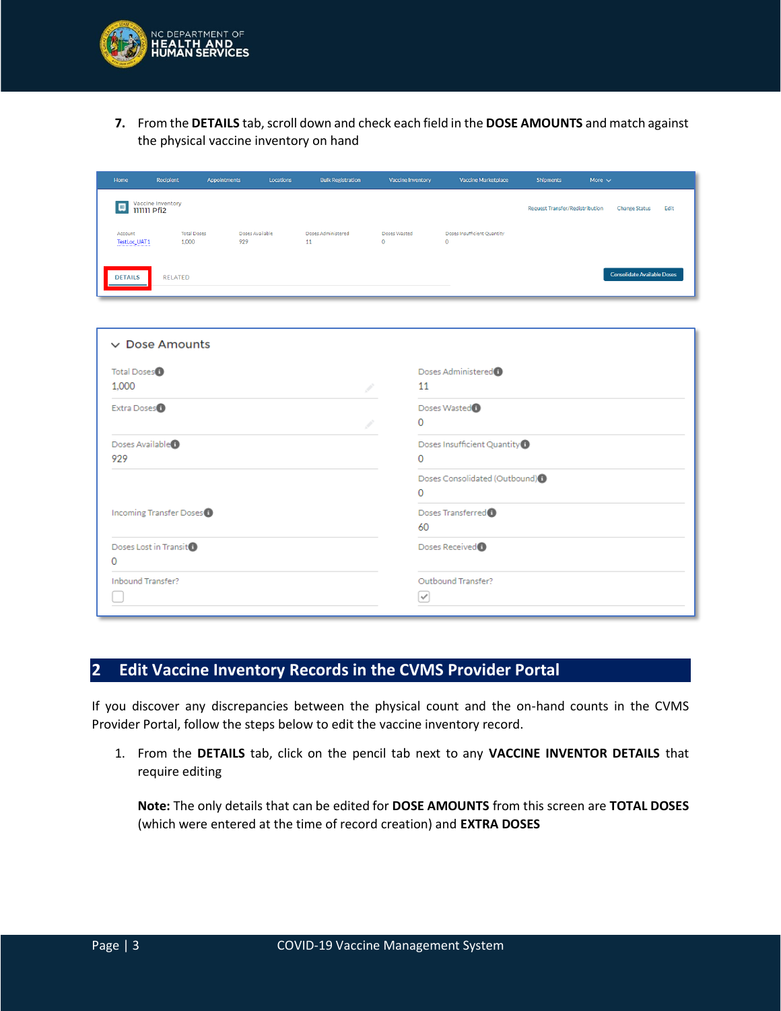

**7.** From the **DETAILS** tab, scroll down and check each field in the **DOSE AMOUNTS** and match against the physical vaccine inventory on hand

| Home                    | Recipient                   | Appointments | Locations       | <b>Bulk Registration</b> | <b>Vaccine Inventory</b>    | <b>Vaccine Marketplace</b>             | <b>Shipments</b>                | More $\vee$                        |
|-------------------------|-----------------------------|--------------|-----------------|--------------------------|-----------------------------|----------------------------------------|---------------------------------|------------------------------------|
| <b>111111 Pfi2</b>      | Vaccine Inventory           |              |                 |                          |                             |                                        | Request Transfer/Redistribution | Edit<br><b>Change Status</b>       |
| Account<br>TestLoc_UAT1 | <b>Total Doses</b><br>1,000 | 929          | Doses Available | Doses Administered<br>11 | Doses Wasted<br>$\mathbf 0$ | Doses Insufficient Quantity<br>$\circ$ |                                 |                                    |
| <b>DETAILS</b>          | RELATED                     |              |                 |                          |                             |                                        |                                 | <b>Consolidate Available Doses</b> |

| Total Doses <sup>1</sup>     | Doses Administered <sup>1</sup>            |  |
|------------------------------|--------------------------------------------|--|
| 1,000                        | 11                                         |  |
| Extra Doses <sup>6</sup>     | Doses Wasted <sup>(1)</sup>                |  |
|                              | $\Omega$                                   |  |
| Doses Available <sup>®</sup> | Doses Insufficient Quantity <sup>®</sup>   |  |
| 929                          | O                                          |  |
|                              | Doses Consolidated (Outbound) <sup>0</sup> |  |
|                              | O                                          |  |
| Incoming Transfer Doses (1)  | Doses Transferred <sup>®</sup>             |  |
|                              | 60                                         |  |
| Doses Lost in Transit        | Doses Received <sup>1</sup>                |  |
| 0                            |                                            |  |
| Inbound Transfer?            | Outbound Transfer?                         |  |
|                              | v                                          |  |

### **2 Edit Vaccine Inventory Records in the CVMS Provider Portal**

If you discover any discrepancies between the physical count and the on-hand counts in the CVMS Provider Portal, follow the steps below to edit the vaccine inventory record.

1. From the **DETAILS** tab, click on the pencil tab next to any **VACCINE INVENTOR DETAILS** that require editing

**Note:** The only details that can be edited for **DOSE AMOUNTS** from this screen are **TOTAL DOSES** (which were entered at the time of record creation) and **EXTRA DOSES**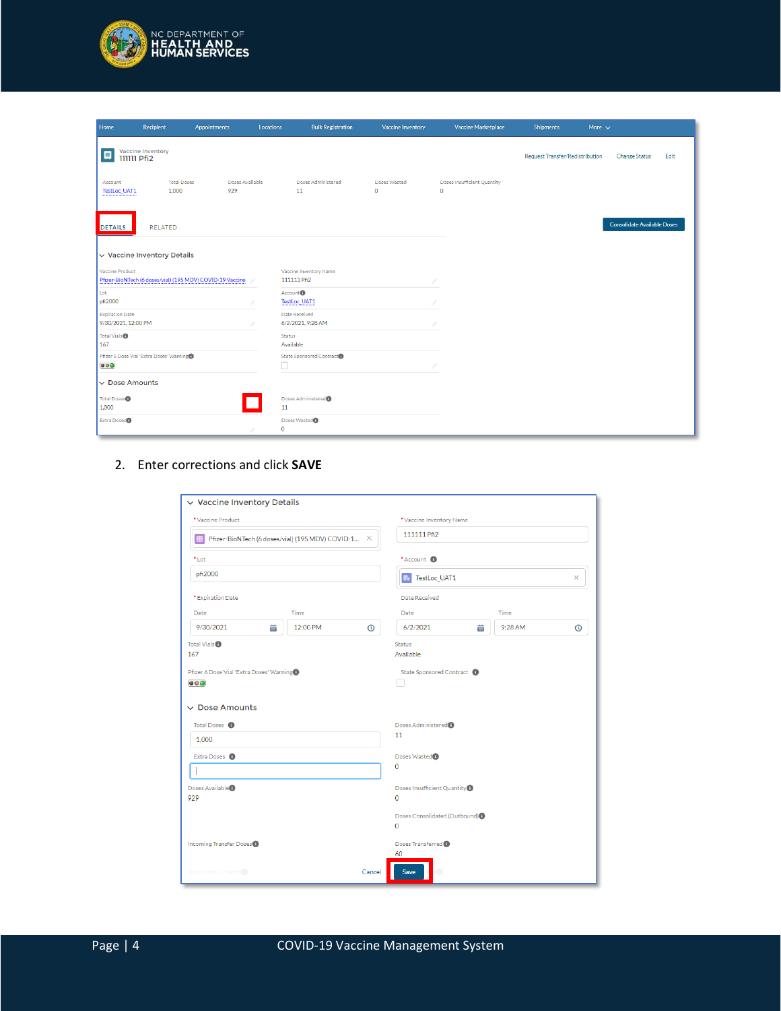

| Home                                          | Recipient                                | Appointments                                              | Locations   | <b>Bulk Registration</b>              | <b>Vaccine Inventory</b>     | <b>Vaccine Marketplace</b>                  | <b>Shipments</b>                       | More $\sim$ |                                    |      |
|-----------------------------------------------|------------------------------------------|-----------------------------------------------------------|-------------|---------------------------------------|------------------------------|---------------------------------------------|----------------------------------------|-------------|------------------------------------|------|
| 興<br><b>111111 Pfi2</b>                       | Vaccine Inventory                        |                                                           |             |                                       |                              |                                             | <b>Request Transfer/Redistribution</b> |             | <b>Change Status</b>               | Edit |
| Account<br>TestLoc_UAT1                       | <b>Total Doses</b><br>1.000              | Doses Available<br>929                                    |             | Doses Administered<br>11              | Doses Wasted<br>$\mathbf{0}$ | Doses Insufficient Quantity<br>$\mathbf{O}$ |                                        |             |                                    |      |
| <b>DETAILS</b>                                | <b>RELATED</b>                           |                                                           |             |                                       |                              |                                             |                                        |             | <b>Consolidate Available Doses</b> |      |
|                                               | $\vee$ Vaccine Inventory Details         |                                                           |             |                                       |                              |                                             |                                        |             |                                    |      |
| Vaccine Product                               |                                          | Pfizer-BioNTech (6 doses/vial) (195 MDV) COVID-19 Vaccine |             | Vaccine Inventory Name<br>111111 Pfi2 |                              |                                             |                                        |             |                                    |      |
| Lot<br>pfi2000                                |                                          |                                                           |             | Account <sup>0</sup><br>TestLoc_UAT1  |                              |                                             |                                        |             |                                    |      |
| <b>Expiration Date</b><br>9/30/2021, 12:00 PM |                                          |                                                           |             | Date Received<br>6/2/2021, 9:28 AM    |                              |                                             |                                        |             |                                    |      |
| Total Vials <sup>1</sup><br>167               |                                          |                                                           | Status      | Available                             |                              |                                             |                                        |             |                                    |      |
| $\bullet\bullet\bullet$                       | Pfizer 6 Dose Vial 'Extra Doses' Warning |                                                           | □           | State Sponsored Contract              |                              |                                             |                                        |             |                                    |      |
| $\vee$ Dose Amounts                           |                                          |                                                           |             |                                       |                              |                                             |                                        |             |                                    |      |
| Total Doses <sup>®</sup><br>1,000             |                                          |                                                           | 11          | Doses Administered <sup>0</sup>       |                              |                                             |                                        |             |                                    |      |
| Extra Doses <sup>O</sup>                      |                                          |                                                           | $\mathbf 0$ | Doses Wasted <sup>O</sup>             |                              |                                             |                                        |             |                                    |      |

#### 2. Enter corrections and click **SAVE**

| *Vaccine Product                                                                                   |                                                    |         | *Vaccine Inventory Name                         |   |         |   |  |  |  |
|----------------------------------------------------------------------------------------------------|----------------------------------------------------|---------|-------------------------------------------------|---|---------|---|--|--|--|
|                                                                                                    | Pfizer-BioNTech (6 doses/vial) (195 MDV) COVID-1 X |         | 111111 Pfi2                                     |   |         |   |  |  |  |
| *Lot                                                                                               |                                                    |         | *Account <sup>6</sup>                           |   |         |   |  |  |  |
| pfi2000                                                                                            |                                                    |         | TestLoc_UAT1<br>$\mathbf{F}_\mathbf{e}$         |   |         |   |  |  |  |
| * Expiration Date                                                                                  |                                                    |         | Date Received                                   |   |         |   |  |  |  |
| Date                                                                                               | Time                                               |         | Date                                            |   | Time    |   |  |  |  |
| 9/30/2021<br>蘦                                                                                     | 12:00 PM                                           | $\odot$ | 6/2/2021                                        | 蘦 | 9:28 AM | ⋒ |  |  |  |
| Total Vials <sup>®</sup><br>167                                                                    |                                                    |         | <b>Status</b><br>Available                      |   |         |   |  |  |  |
| Pfizer 6 Dose Vial 'Extra Doses' Warning                                                           |                                                    |         |                                                 |   |         |   |  |  |  |
|                                                                                                    |                                                    |         | State Sponsored Contract                        |   |         |   |  |  |  |
|                                                                                                    |                                                    |         |                                                 |   |         |   |  |  |  |
| Total Doses <sup>1</sup>                                                                           |                                                    |         | Doses Administered <sup>®</sup>                 |   |         |   |  |  |  |
| 1,000                                                                                              |                                                    |         | 11                                              |   |         |   |  |  |  |
| Extra Doses <sup>O</sup>                                                                           |                                                    |         | Doses Wasted <sup>0</sup>                       |   |         |   |  |  |  |
|                                                                                                    |                                                    |         | $\mathbf{O}$                                    |   |         |   |  |  |  |
|                                                                                                    |                                                    |         | Doses Insufficient Quantity<br>$\Omega$         |   |         |   |  |  |  |
|                                                                                                    |                                                    |         | Doses Consolidated (Outbound) <sup>0</sup><br>0 |   |         |   |  |  |  |
| $\bullet$<br>$\vee$ Dose Amounts<br>Doses Available <sup>®</sup><br>929<br>Incoming Transfer Doses |                                                    |         | Doses Transferred <sup>®</sup>                  |   |         |   |  |  |  |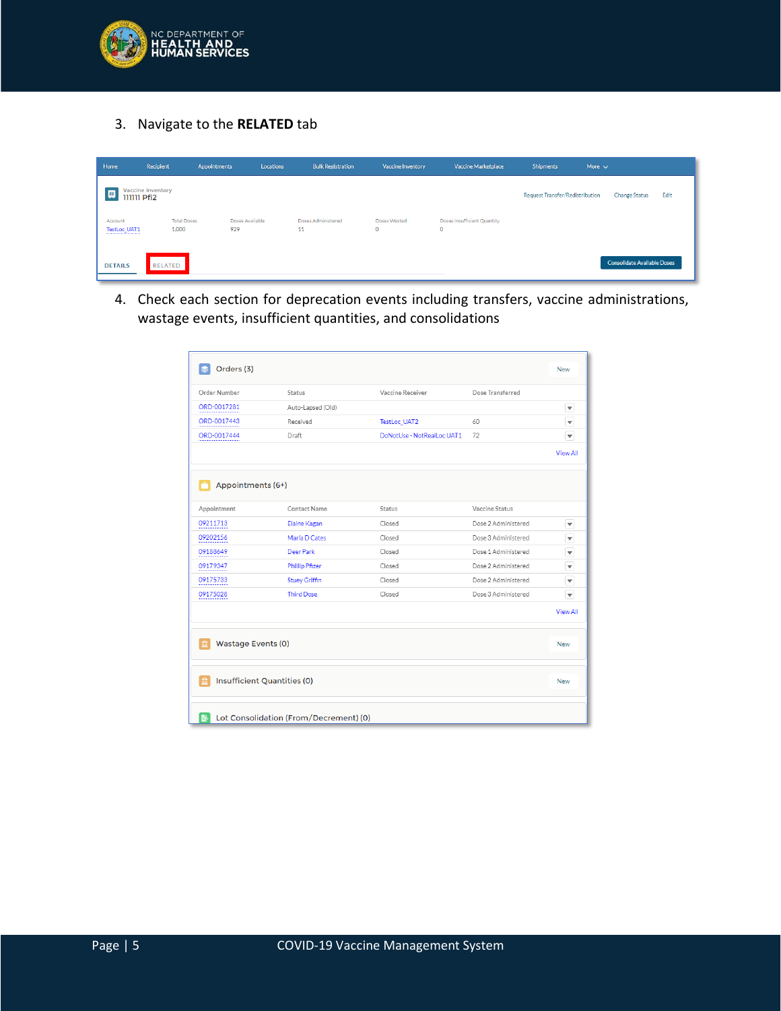

3. Navigate to the **RELATED** tab

| Home                    | Recipient                               | Appointments                       | Locations       | <b>Bulk Registration</b> | <b>Vaccine Inventory</b> | <b>Vaccine Marketplace</b>                 | <b>Shipments</b>                | More $\vee$                        |
|-------------------------|-----------------------------------------|------------------------------------|-----------------|--------------------------|--------------------------|--------------------------------------------|---------------------------------|------------------------------------|
| 画                       | Vaccine Inventory<br><b>IIIIII</b> Pfi2 |                                    |                 |                          |                          |                                            | Request Transfer/Redistribution | Edit<br><b>Change Status</b>       |
| Account<br>TestLoc_UAT1 |                                         | <b>Total Doses</b><br>929<br>1,000 | Doses Available | Doses Administered<br>11 | Doses Wasted<br>$\circ$  | Doses Insufficient Quantity<br>$\mathbf 0$ |                                 |                                    |
| <b>DETAILS</b>          | RELATED                                 |                                    |                 |                          |                          |                                            |                                 | <b>Consolidate Available Doses</b> |

4. Check each section for deprecation events including transfers, vaccine administrations, wastage events, insufficient quantities, and consolidations

| Orders (3)              |                                    |                            |                     | <b>New</b>               |
|-------------------------|------------------------------------|----------------------------|---------------------|--------------------------|
| Order Number            | Status                             | Vaccine Receiver           | Dose Transferred    |                          |
| ORD-0017281             | Auto-Lapsed (Old)                  |                            |                     | $\blacktriangledown$     |
| ORD-0017443             | Received                           | TestLoc_UAT2               | 60                  | $\overline{\mathbf{v}}$  |
| ORD-0017444             | Draft                              | DoNotUse - NotRealLoc UAT1 | 72                  | $\overline{\mathbf{v}}$  |
|                         |                                    |                            |                     | <b>View All</b>          |
| Appointments (6+)       |                                    |                            |                     |                          |
| Appointment             | <b>Contact Name</b>                | Status                     | Vaccine Status      |                          |
| 09211713                | Elaine Kagan                       | Closed                     | Dose 2 Administered | $\blacktriangledown$     |
| 09202156                | Maria D Cates                      | Closed                     | Dose 3 Administered | $\overline{\phantom{a}}$ |
| 09188649                | Deer Park                          | Closed                     | Dose 1 Administered | $\overline{\phantom{a}}$ |
| 09179347                | <b>Phillip Pfizer</b>              | Closed                     | Dose 2 Administered | $\overline{\phantom{a}}$ |
| 09175733                | <b>Stuey Griffin</b>               | Closed                     | Dose 2 Administered | $\overline{\mathbf v}$   |
| 09175028                | <b>Third Dose</b>                  | Closed                     | Dose 3 Administered | $\overline{\mathbf{v}}$  |
|                         |                                    |                            |                     | <b>View All</b>          |
| Wastage Events (0)<br>m |                                    |                            |                     | <b>New</b>               |
| m                       | <b>Insufficient Quantities (0)</b> |                            |                     | <b>New</b>               |
|                         |                                    |                            |                     |                          |